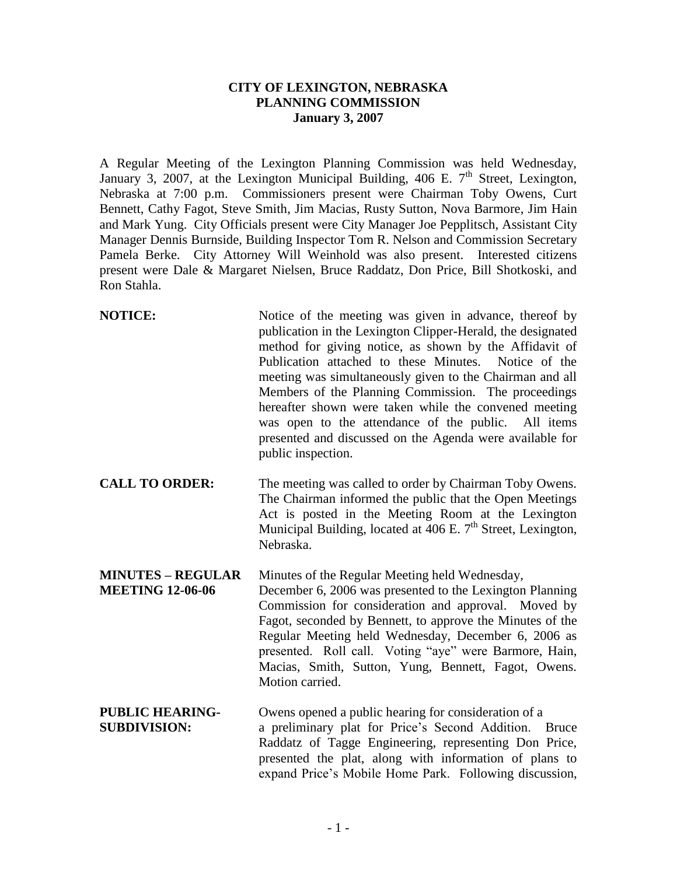## **CITY OF LEXINGTON, NEBRASKA PLANNING COMMISSION January 3, 2007**

A Regular Meeting of the Lexington Planning Commission was held Wednesday, January 3, 2007, at the Lexington Municipal Building, 406 E.  $7<sup>th</sup>$  Street, Lexington, Nebraska at 7:00 p.m. Commissioners present were Chairman Toby Owens, Curt Bennett, Cathy Fagot, Steve Smith, Jim Macias, Rusty Sutton, Nova Barmore, Jim Hain and Mark Yung. City Officials present were City Manager Joe Pepplitsch, Assistant City Manager Dennis Burnside, Building Inspector Tom R. Nelson and Commission Secretary Pamela Berke. City Attorney Will Weinhold was also present. Interested citizens present were Dale & Margaret Nielsen, Bruce Raddatz, Don Price, Bill Shotkoski, and Ron Stahla.

- **NOTICE:** Notice of the meeting was given in advance, thereof by publication in the Lexington Clipper-Herald, the designated method for giving notice, as shown by the Affidavit of Publication attached to these Minutes. Notice of the meeting was simultaneously given to the Chairman and all Members of the Planning Commission. The proceedings hereafter shown were taken while the convened meeting was open to the attendance of the public. All items presented and discussed on the Agenda were available for public inspection.
- **CALL TO ORDER:** The meeting was called to order by Chairman Toby Owens. The Chairman informed the public that the Open Meetings Act is posted in the Meeting Room at the Lexington Municipal Building, located at  $406$  E. 7<sup>th</sup> Street, Lexington, Nebraska.

**MINUTES – REGULAR** Minutes of the Regular Meeting held Wednesday, **MEETING 12-06-06** December 6, 2006 was presented to the Lexington Planning Commission for consideration and approval. Moved by Fagot, seconded by Bennett, to approve the Minutes of the Regular Meeting held Wednesday, December 6, 2006 as presented. Roll call. Voting "aye" were Barmore, Hain, Macias, Smith, Sutton, Yung, Bennett, Fagot, Owens. Motion carried.

**PUBLIC HEARING-** Owens opened a public hearing for consideration of a **SUBDIVISION:** a preliminary plat for Price's Second Addition. Bruce Raddatz of Tagge Engineering, representing Don Price, presented the plat, along with information of plans to expand Price's Mobile Home Park. Following discussion,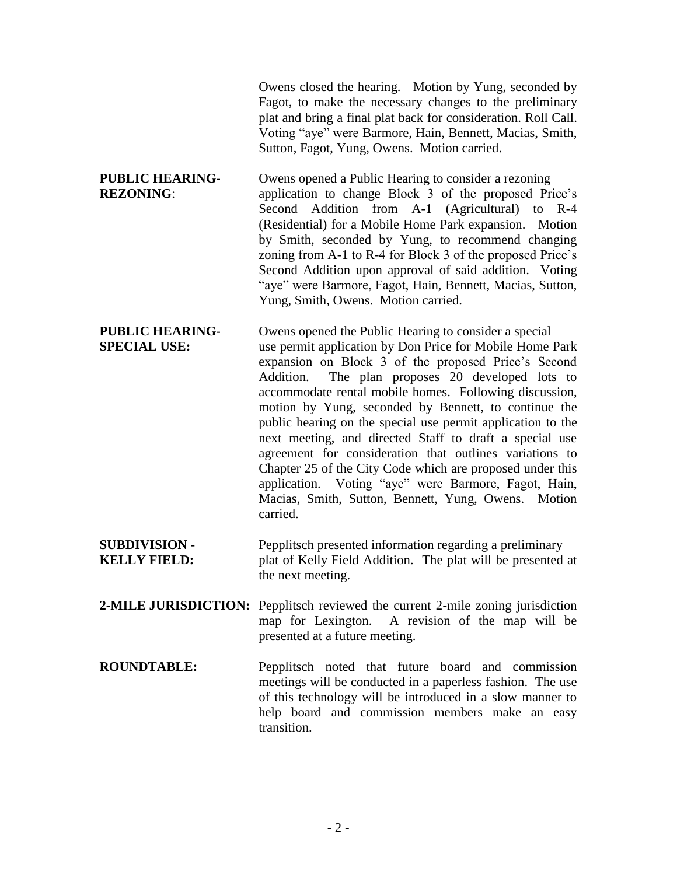|                                               | Owens closed the hearing. Motion by Yung, seconded by<br>Fagot, to make the necessary changes to the preliminary<br>plat and bring a final plat back for consideration. Roll Call.<br>Voting "aye" were Barmore, Hain, Bennett, Macias, Smith,<br>Sutton, Fagot, Yung, Owens. Motion carried.                                                                                                                                                                                                                                                                                                                                                                                                                                  |
|-----------------------------------------------|--------------------------------------------------------------------------------------------------------------------------------------------------------------------------------------------------------------------------------------------------------------------------------------------------------------------------------------------------------------------------------------------------------------------------------------------------------------------------------------------------------------------------------------------------------------------------------------------------------------------------------------------------------------------------------------------------------------------------------|
| <b>PUBLIC HEARING-</b><br><b>REZONING:</b>    | Owens opened a Public Hearing to consider a rezoning<br>application to change Block 3 of the proposed Price's<br>Second Addition from A-1 (Agricultural) to R-4<br>(Residential) for a Mobile Home Park expansion. Motion<br>by Smith, seconded by Yung, to recommend changing<br>zoning from A-1 to R-4 for Block 3 of the proposed Price's<br>Second Addition upon approval of said addition. Voting<br>"aye" were Barmore, Fagot, Hain, Bennett, Macias, Sutton,<br>Yung, Smith, Owens. Motion carried.                                                                                                                                                                                                                     |
| <b>PUBLIC HEARING-</b><br><b>SPECIAL USE:</b> | Owens opened the Public Hearing to consider a special<br>use permit application by Don Price for Mobile Home Park<br>expansion on Block 3 of the proposed Price's Second<br>The plan proposes 20 developed lots to<br>Addition.<br>accommodate rental mobile homes. Following discussion,<br>motion by Yung, seconded by Bennett, to continue the<br>public hearing on the special use permit application to the<br>next meeting, and directed Staff to draft a special use<br>agreement for consideration that outlines variations to<br>Chapter 25 of the City Code which are proposed under this<br>application. Voting "aye" were Barmore, Fagot, Hain,<br>Macias, Smith, Sutton, Bennett, Yung, Owens. Motion<br>carried. |
| <b>SUBDIVISION -</b><br><b>KELLY FIELD:</b>   | Pepplitsch presented information regarding a preliminary<br>plat of Kelly Field Addition. The plat will be presented at<br>the next meeting.                                                                                                                                                                                                                                                                                                                                                                                                                                                                                                                                                                                   |
|                                               | <b>2-MILE JURISDICTION:</b> Pepplitsch reviewed the current 2-mile zoning jurisdiction<br>map for Lexington. A revision of the map will be<br>presented at a future meeting.                                                                                                                                                                                                                                                                                                                                                                                                                                                                                                                                                   |
| <b>ROUNDTABLE:</b>                            | Pepplitsch noted that future board and commission<br>meetings will be conducted in a paperless fashion. The use<br>of this technology will be introduced in a slow manner to<br>help board and commission members make an easy                                                                                                                                                                                                                                                                                                                                                                                                                                                                                                 |

transition.